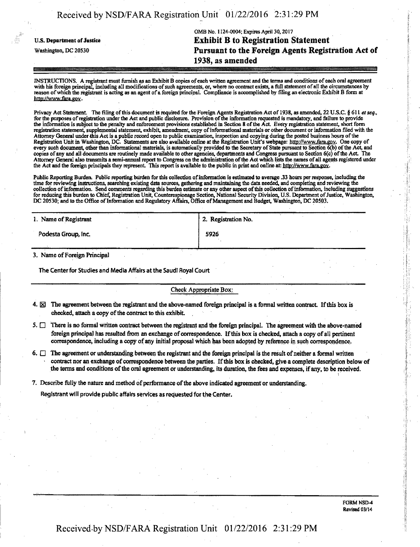|                                   | OMB No. 1124-0004; Expires April 30, 2017          |
|-----------------------------------|----------------------------------------------------|
| <b>U.S. Department of Justice</b> | <b>Exhibit B to Registration Statement</b>         |
| Washington, DC 20530              | Pursuant to the Foreign Agents Registration Act of |
|                                   | 1938, as amended                                   |

Received by NSD/FARA Registration Unit 01/22/2016 2:31:29 PM

INSTRUCTIONS. A registrant must furnish as an Exhibit B copies of each written agreement and the terms and conditions of each oral agreement with his foreign principal, including all modifications of such agreements, or, where no contract exists, a full statement of all the circumstances by reason of which the registrant is acting as an agent of a foreign principal. Compliance is accomplished by filing an electronic Exhibit B form at http://www.fara.gov.

Privacy Act Statement. The filing of this document is required for the Foreign Agents Registration Act of 1938, as amended, 22 U.S.C. § 611 et seq., for the purposes of registration under the Act and public disclosure. Provision of the information requested is mandatory, and failure to provide the infonnation is subject to the penalty and enforcement provisions established in Section 8 of the Act. Every registration statement, short form registration statement, supplemental statement, exhibit, amendment, copy of informational materials or other document or infonnation filed with the Attorney General under mis Act is a public record open to public examination, inspection and copying during the posted business hours of the Registration Unit in Washington, DC. Statements are also available online at the Registration Unit's webpage: http://www.fara.gov. One copy of every such document, other than infonnational materials, is automatically provided to the Secretary of State pursuant to Section 6(b) ofthe Act, and copies of any and all documents are routinely made available to other agencies, departments and Congress pursuant to Section 6(c) of the Act The Attorney General also transmits a semi-annual report to Congress on the administration of the Act which lists the names of all agents registered under the Act and the foreign principals they represent. This report is available to the public in print and online at: http://www.fara.gov.

Public Reporting Burden. Public reporting burden for this collection of information is estimated to average .33 hours per response, including the time for reviewing instructions, searching existing data sources, gathering and maintaining the data needed, and completing and reviewing the collection of information. Send comments regarding this burden estimate or any other aspect of this collection of information, including suggestions for reducing this burden to Chief, Registration Unit, Counterespionage Section, National Security Division, U.S. Department of Justice, Washington, DC 20530; and to the Office of Information and Regulatory Affairs, Office of Management and Budget Washington, DC 20503.

| $-$<br>1. Name of Registrant | .<br>2. Registration No. |
|------------------------------|--------------------------|
| Podesta Group, Inc.          | 5926                     |
|                              |                          |

3. Name of Foreign Principal

The Center for Studies and Media Affairs at the Saudi Royal Court

Check Appropriate Box:

- 4.  $\boxtimes$  The agreement between the registrant and the above-named foreign principal is a formal written contract. If this box is checked, attach a copy of the contract to this exhibit
- 5.  $\Box$  There is no formal written contract between the registrant and the foreign principal. The agreement with the above-named foreign principal has resulted from an exchange of correspondence. If this box is checked, attach a copy of all pertinent correspondence, including a copy of any initial proposal which has been adopted by reference in such correspondence.
- 6.  $\Box$  The agreement or understanding between the registrant and the foreign principal is the result of neither a formal written contract nor an exchange of correspondence between the parties. If this box is checked, give a complete description below of the terms and conditions of the oral agreement or understanding, its duration, the fees and expenses, if any, to be received.

7. Describe fully the nature and method of performance of the above indicated agreement or understanding.

Registrant will provide public affairs services as requested for the Center.

FORM NSD-4 Revised 03/14

i '

# Received by NSD/FARA Registration Unit 01/22/2016 2:31:29 PM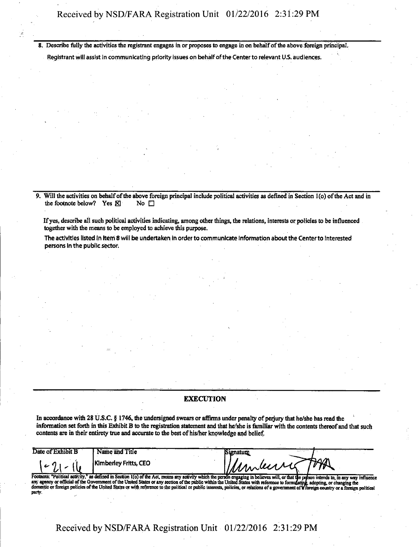**8. Describe fully the activities the registrant engages in or proposes to engage in on behalf of the above foreign principal.** 

**Registrant will assist in communicating priority issues on behalf of the Center to relevant U.S. audiences.** 

**9.** Will the activities on behalf of the above foreign principal include political activities as defined in Section 1(o) of the Act and in the footnote below? Yes  $\boxtimes$  No  $\square$ the footnote below? Yes  $\boxtimes$ 

**If yes, describe all such political activities indicating, among other things, the relations, interests or policies to be influenced together with the means to be employed to achieve this purpose.** 

The activities listed in Item 8 will be undertaken in order to communicate information about the Center to interested persons In the public sector

## **EXECUTION**

**In accordance with 28 U.S.C. g 1746, the undersigned swears or affirms under penalty of perjury that he/she has read the infonnation set forth in this Exhibit B to the registration statement and that he/she is familiar with the contents thereof and that such contents are in their entirety true and accurate to the best of his/her knowledge and belief.** 

| Date of Exhibit B | Name and Title        | liamatuma  | <b>STATISTICS</b> |  |
|-------------------|-----------------------|------------|-------------------|--|
|                   | Kimberley Fritts, CEO | uniments " |                   |  |

Footnote: "Political activity," as defined in Section 1(o) of the Act, means any activity which the person engaging in believes will, or that the person in<br>any agency or official of the Government of the United States or a **party. son intends to, m any way influence adopting, or changing the mign country or a foreign political** 

**Received by NSD/FARA Registration Unit 01/22/2016 2:31:29 PM**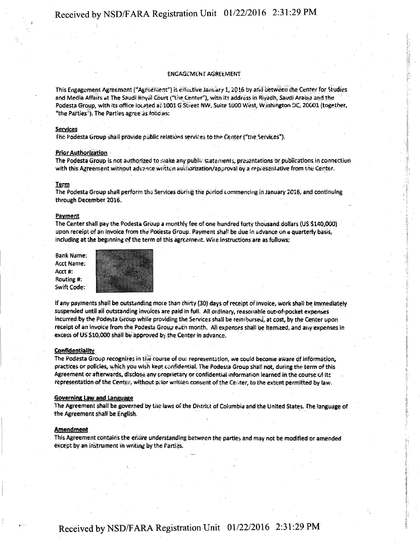# Received by NSD/FARA Registration Unit 01/22/2016 2:31:29 PM

#### ENGAGEMENT AGREtMENT

This Engagement Agreement ("Agreement") is eifeitive January 1, 2016 by and between the Center for Studies and Media Affairs at The Saudi Royal Court ("the Center"), with its address in Riyadh, Saudi Arabia and the Podesta Group, with its office located all 1001 G Street NW, Suite 1000 West, Washington DC, 20001 (together, "the Parties'\*). The Parties agree as roiicws:

#### **Services**

file Podesta Group shall provide public relations services to the Center ("me Services\*).

Prior Authorization<br>The Podesta Group is not authorized to make any public statements, presentations or publications in connection with this Agreement without advance written authorization/approval by a representative from the Center. with this Agreement with Agreement with a representation and approval by a representation  $\mathcal{C}$ 

#### Igrm

The Podesta Group shall perform the Services during the period commencing in January 2016, and continuing through December 2016.

#### **Payment**

The Center shall pay the Podesta Group a monthly fee of one hundred forty thousand dollars (US \$140,000) upon receipt of an invoice from the Pooesta Group. Payment shall be due in advance on a quarterly basis, including at the beginning of the term of this agreement. Wire instructions are as follows;

Bank Name: Acct Name: Acct #: Routing #: Swift Code:



if any payments shall be outstanding mote than thirty (30) days of receipt of invoice, work shall be immediately suspended until all outstanding invoices are paid in full. Alt ordinary, reasonable out-of-pocket expenses incurred by the Podesta Group while providing the Services shall be reimbursed, at cost, by the Center upon receipt of an invoice from the Podesta Group each month. All expenses shall be itemized, and any expenses in excess of US \$10,000 shall be approved by the Center in advance.

### **Confidentiality**

The Podesta Group recognizes in the course of our representation, we could become aware of information, practices or policies, which you wish kept confidential. The Podesta Group shall not, during the term of this Agreement or afterwards, disclose any proprietary or confidential information learned in the course of its representation of the Center, without prior written consent ofthe Center, to the extent permitted by law.

#### Governing law and Language

The Agreement shail be governed by tiio laws of the District of Columbia and the United States, the language of the Agreement shall be English.

#### **Amendment**

This Agreement contains the entire understanding between the parties and may not be modified or amended except by an instrument in writing by the Partias.